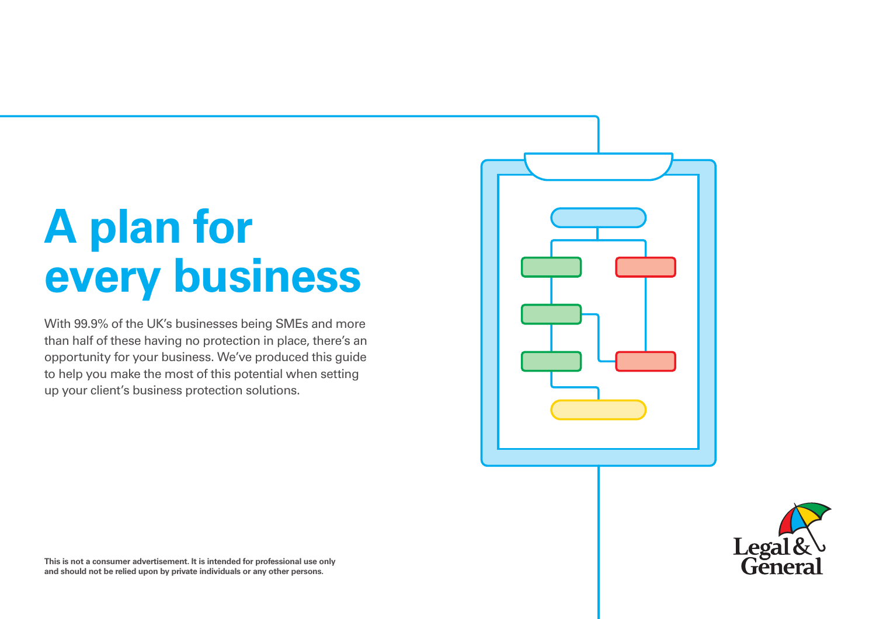# **A plan for every business**

With 99.9% of the UK's businesses being SMEs and more than half of these having no protection in place, there's an opportunity for your business. We've produced this guide to help you make the most of this potential when setting up your client's business protection solutions.





**This is not a consumer advertisement. It is intended for professional use only and should not be relied upon by private individuals or any other persons.**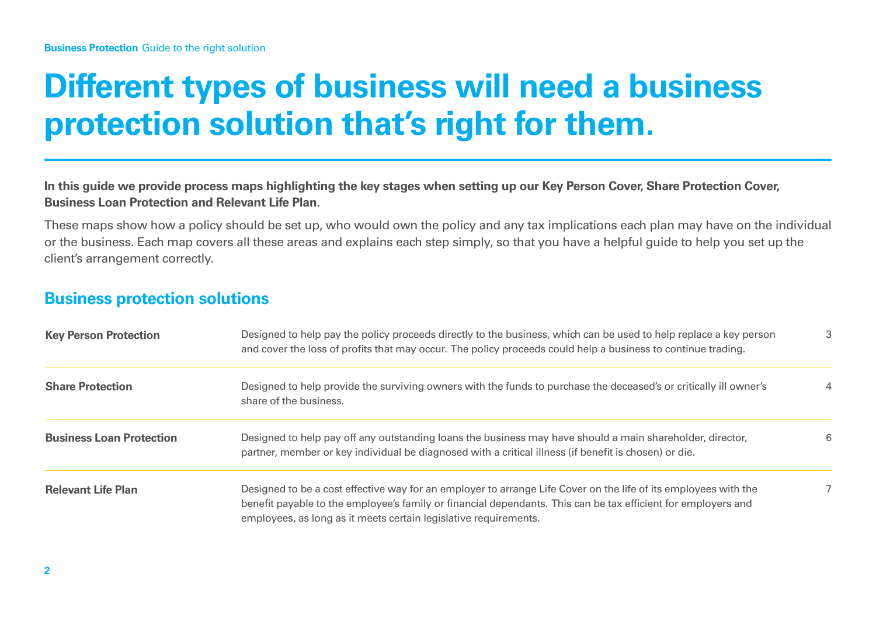## **Different types of business will need a business protection solution that's right for them.**

**In this guide we provide process maps highlighting the key stages when setting up our Key Person Cover, Share Protection Cover, Business Loan Protection and Relevant Life Plan.** 

These maps show how a policy should be set up, who would own the policy and any tax implications each plan may have on the individual or the business. Each map covers all these areas and explains each step simply, so that you have a helpful guide to help you set up the client's arrangement correctly.

#### **Business protection solutions**

| <b>Key Person Protection</b>    | Designed to help pay the policy proceeds directly to the business, which can be used to help replace a key person<br>and cover the loss of profits that may occur. The policy proceeds could help a business to continue trading.                                                                    | 3 |
|---------------------------------|------------------------------------------------------------------------------------------------------------------------------------------------------------------------------------------------------------------------------------------------------------------------------------------------------|---|
| <b>Share Protection</b>         | Designed to help provide the surviving owners with the funds to purchase the deceased's or critically ill owner's<br>share of the business.                                                                                                                                                          | 4 |
| <b>Business Loan Protection</b> | Designed to help pay off any outstanding loans the business may have should a main shareholder, director,<br>partner, member or key individual be diagnosed with a critical illness (if benefit is chosen) or die.                                                                                   | 6 |
| <b>Relevant Life Plan</b>       | Designed to be a cost effective way for an employer to arrange Life Cover on the life of its employees with the<br>benefit payable to the employee's family or financial dependants. This can be tax efficient for employers and<br>employees, as long as it meets certain legislative requirements. | 7 |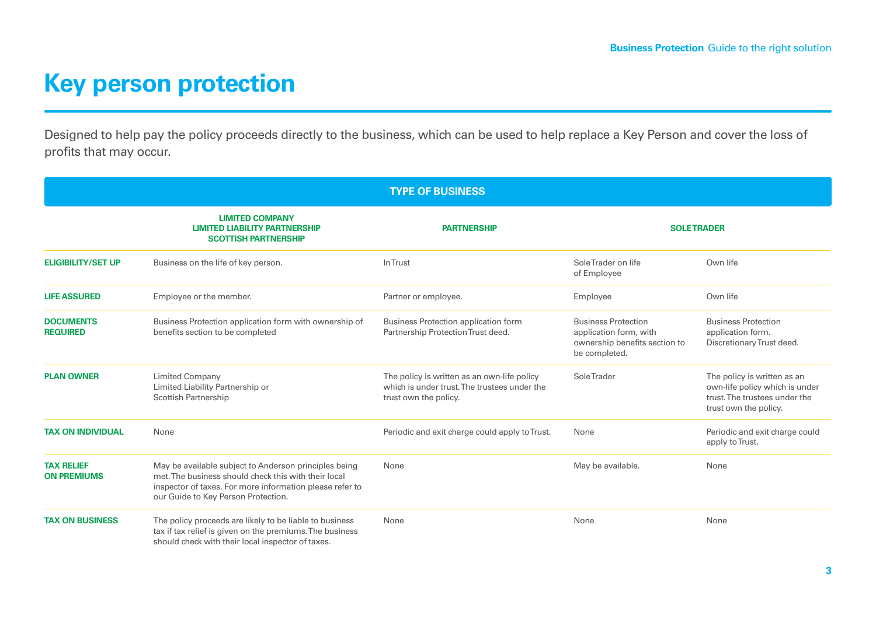### **Key person protection**

Designed to help pay the policy proceeds directly to the business, which can be used to help replace a Key Person and cover the loss of profits that may occur.

| <b>TYPE OF BUSINESS</b>                 |                                                                                                                                                                                                                  |                                                                                                                      |                                                                                                        |                                                                                                                         |
|-----------------------------------------|------------------------------------------------------------------------------------------------------------------------------------------------------------------------------------------------------------------|----------------------------------------------------------------------------------------------------------------------|--------------------------------------------------------------------------------------------------------|-------------------------------------------------------------------------------------------------------------------------|
|                                         | <b>LIMITED COMPANY</b><br><b>LIMITED LIABILITY PARTNERSHIP</b><br><b>SCOTTISH PARTNERSHIP</b>                                                                                                                    | <b>PARTNERSHIP</b>                                                                                                   |                                                                                                        | <b>SOLETRADER</b>                                                                                                       |
| <b>ELIGIBILITY/SET UP</b>               | Business on the life of key person.                                                                                                                                                                              | In Trust                                                                                                             | SoleTrader on life<br>of Employee                                                                      | Own life                                                                                                                |
| <b>LIFE ASSURED</b>                     | Employee or the member.                                                                                                                                                                                          | Partner or employee.                                                                                                 | Employee                                                                                               | Own life                                                                                                                |
| <b>DOCUMENTS</b><br><b>REQUIRED</b>     | Business Protection application form with ownership of<br>benefits section to be completed                                                                                                                       | <b>Business Protection application form</b><br>Partnership Protection Trust deed.                                    | <b>Business Protection</b><br>application form, with<br>ownership benefits section to<br>be completed. | <b>Business Protection</b><br>application form.<br>Discretionary Trust deed.                                            |
| <b>PLAN OWNER</b>                       | <b>Limited Company</b><br>Limited Liability Partnership or<br><b>Scottish Partnership</b>                                                                                                                        | The policy is written as an own-life policy<br>which is under trust. The trustees under the<br>trust own the policy. | <b>SoleTrader</b>                                                                                      | The policy is written as an<br>own-life policy which is under<br>trust. The trustees under the<br>trust own the policy. |
| <b>TAX ON INDIVIDUAL</b>                | None                                                                                                                                                                                                             | Periodic and exit charge could apply to Trust.                                                                       | None                                                                                                   | Periodic and exit charge could<br>apply to Trust.                                                                       |
| <b>TAX RELIEF</b><br><b>ON PREMIUMS</b> | May be available subject to Anderson principles being<br>met. The business should check this with their local<br>inspector of taxes. For more information please refer to<br>our Guide to Key Person Protection. | None                                                                                                                 | May be available.                                                                                      | None                                                                                                                    |
| <b>TAX ON BUSINESS</b>                  | The policy proceeds are likely to be liable to business<br>tax if tax relief is given on the premiums. The business<br>should check with their local inspector of taxes.                                         | None                                                                                                                 | None                                                                                                   | None                                                                                                                    |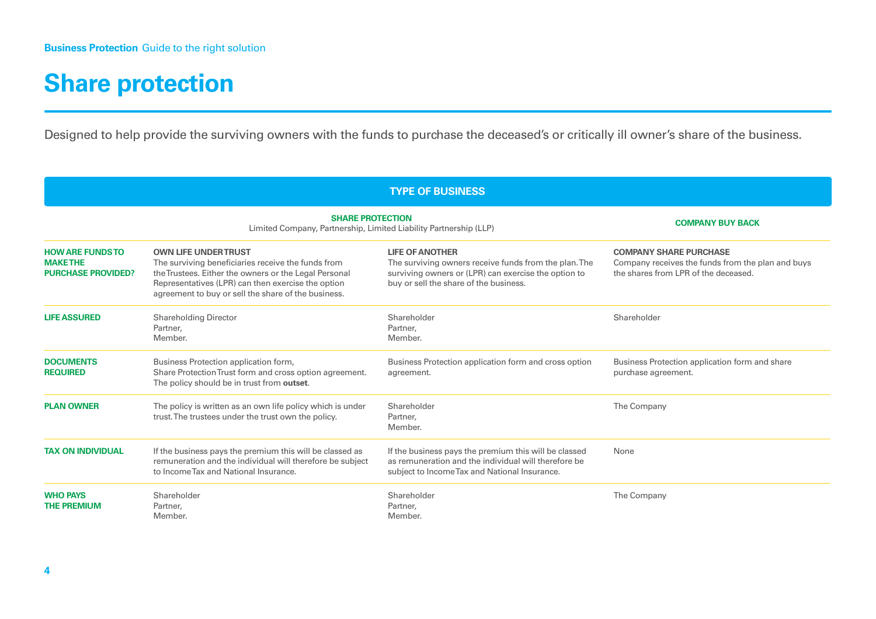#### **Share protection**

Designed to help provide the surviving owners with the funds to purchase the deceased's or critically ill owner's share of the business.

| <b>TYPE OF BUSINESS</b>                                                |                                                                                                                                                                                                                                                         |                                                                                                                                                                                   |                                                                                                                            |
|------------------------------------------------------------------------|---------------------------------------------------------------------------------------------------------------------------------------------------------------------------------------------------------------------------------------------------------|-----------------------------------------------------------------------------------------------------------------------------------------------------------------------------------|----------------------------------------------------------------------------------------------------------------------------|
|                                                                        | <b>SHARE PROTECTION</b><br>Limited Company, Partnership, Limited Liability Partnership (LLP)                                                                                                                                                            | <b>COMPANY BUY BACK</b>                                                                                                                                                           |                                                                                                                            |
| <b>HOW ARE FUNDS TO</b><br><b>MAKETHE</b><br><b>PURCHASE PROVIDED?</b> | <b>OWN LIFE UNDER TRUST</b><br>The surviving beneficiaries receive the funds from<br>the Trustees. Either the owners or the Legal Personal<br>Representatives (LPR) can then exercise the option<br>agreement to buy or sell the share of the business. | <b>LIFE OF ANOTHER</b><br>The surviving owners receive funds from the plan. The<br>surviving owners or (LPR) can exercise the option to<br>buy or sell the share of the business. | <b>COMPANY SHARE PURCHASE</b><br>Company receives the funds from the plan and buys<br>the shares from LPR of the deceased. |
| <b>LIFE ASSURED</b>                                                    | <b>Shareholding Director</b><br>Partner,<br>Member.                                                                                                                                                                                                     | Shareholder<br>Partner,<br>Member.                                                                                                                                                | Shareholder                                                                                                                |
| <b>DOCUMENTS</b><br><b>REQUIRED</b>                                    | Business Protection application form,<br>Share Protection Trust form and cross option agreement.<br>The policy should be in trust from outset.                                                                                                          | Business Protection application form and cross option<br>agreement.                                                                                                               | Business Protection application form and share<br>purchase agreement.                                                      |
| <b>PLAN OWNER</b>                                                      | The policy is written as an own life policy which is under<br>trust. The trustees under the trust own the policy.                                                                                                                                       | Shareholder<br>Partner,<br>Member.                                                                                                                                                | The Company                                                                                                                |
| <b>TAX ON INDIVIDUAL</b>                                               | If the business pays the premium this will be classed as<br>remuneration and the individual will therefore be subject<br>to Income Tax and National Insurance.                                                                                          | If the business pays the premium this will be classed<br>as remuneration and the individual will therefore be<br>subject to Income Tax and National Insurance.                    | None                                                                                                                       |
| <b>WHO PAYS</b><br><b>THE PREMIUM</b>                                  | Shareholder<br>Partner.<br>Member.                                                                                                                                                                                                                      | Shareholder<br>Partner,<br>Member.                                                                                                                                                | The Company                                                                                                                |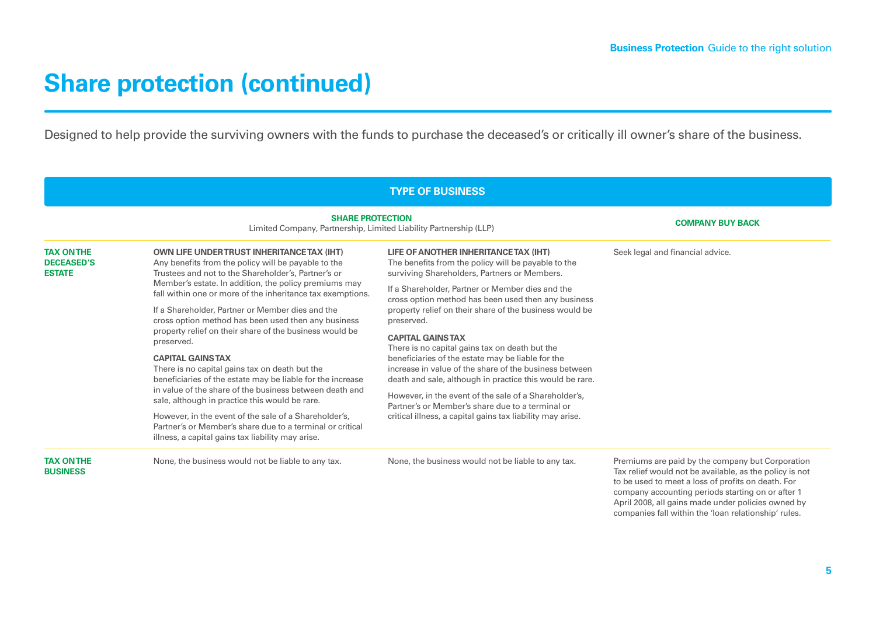April 2008, all gains made under policies owned by companies fall within the 'loan relationship' rules.

#### **Share protection (continued)**

Designed to help provide the surviving owners with the funds to purchase the deceased's or critically ill owner's share of the business.

|                                                                                                                                                                                                                                                                                                                                                                                                                                                                                                                                                                                                                                                                                                                                                                                                                                                                                                                                                       |                                                                                                                                                                 | <b>TYPE OF BUSINESS</b>                                                                                                                      |                                                                                                                                                                                                                        |
|-------------------------------------------------------------------------------------------------------------------------------------------------------------------------------------------------------------------------------------------------------------------------------------------------------------------------------------------------------------------------------------------------------------------------------------------------------------------------------------------------------------------------------------------------------------------------------------------------------------------------------------------------------------------------------------------------------------------------------------------------------------------------------------------------------------------------------------------------------------------------------------------------------------------------------------------------------|-----------------------------------------------------------------------------------------------------------------------------------------------------------------|----------------------------------------------------------------------------------------------------------------------------------------------|------------------------------------------------------------------------------------------------------------------------------------------------------------------------------------------------------------------------|
|                                                                                                                                                                                                                                                                                                                                                                                                                                                                                                                                                                                                                                                                                                                                                                                                                                                                                                                                                       | <b>SHARE PROTECTION</b><br>Limited Company, Partnership, Limited Liability Partnership (LLP)                                                                    | <b>COMPANY BUY BACK</b>                                                                                                                      |                                                                                                                                                                                                                        |
| <b>TAX ON THE</b><br><b>DECEASED'S</b><br><b>ESTATE</b>                                                                                                                                                                                                                                                                                                                                                                                                                                                                                                                                                                                                                                                                                                                                                                                                                                                                                               | <b>OWN LIFE UNDER TRUST INHERITANCE TAX (IHT)</b><br>Any benefits from the policy will be payable to the<br>Trustees and not to the Shareholder's, Partner's or | LIFE OF ANOTHER INHERITANCE TAX (IHT)<br>The benefits from the policy will be payable to the<br>surviving Shareholders, Partners or Members. | Seek legal and financial advice.                                                                                                                                                                                       |
| Member's estate. In addition, the policy premiums may<br>fall within one or more of the inheritance tax exemptions.<br>cross option method has been used then any business<br>If a Shareholder, Partner or Member dies and the<br>cross option method has been used then any business<br>preserved.<br>property relief on their share of the business would be<br><b>CAPITAL GAINSTAX</b><br>preserved.<br>There is no capital gains tax on death but the<br><b>CAPITAL GAINSTAX</b><br>There is no capital gains tax on death but the<br>beneficiaries of the estate may be liable for the increase<br>in value of the share of the business between death and<br>However, in the event of the sale of a Shareholder's,<br>sale, although in practice this would be rare.<br>However, in the event of the sale of a Shareholder's,<br>Partner's or Member's share due to a terminal or critical<br>illness, a capital gains tax liability may arise. | If a Shareholder, Partner or Member dies and the                                                                                                                |                                                                                                                                              |                                                                                                                                                                                                                        |
|                                                                                                                                                                                                                                                                                                                                                                                                                                                                                                                                                                                                                                                                                                                                                                                                                                                                                                                                                       | property relief on their share of the business would be                                                                                                         |                                                                                                                                              |                                                                                                                                                                                                                        |
|                                                                                                                                                                                                                                                                                                                                                                                                                                                                                                                                                                                                                                                                                                                                                                                                                                                                                                                                                       |                                                                                                                                                                 |                                                                                                                                              |                                                                                                                                                                                                                        |
|                                                                                                                                                                                                                                                                                                                                                                                                                                                                                                                                                                                                                                                                                                                                                                                                                                                                                                                                                       | beneficiaries of the estate may be liable for the<br>increase in value of the share of the business between                                                     |                                                                                                                                              |                                                                                                                                                                                                                        |
|                                                                                                                                                                                                                                                                                                                                                                                                                                                                                                                                                                                                                                                                                                                                                                                                                                                                                                                                                       | death and sale, although in practice this would be rare.                                                                                                        |                                                                                                                                              |                                                                                                                                                                                                                        |
|                                                                                                                                                                                                                                                                                                                                                                                                                                                                                                                                                                                                                                                                                                                                                                                                                                                                                                                                                       | Partner's or Member's share due to a terminal or                                                                                                                |                                                                                                                                              |                                                                                                                                                                                                                        |
|                                                                                                                                                                                                                                                                                                                                                                                                                                                                                                                                                                                                                                                                                                                                                                                                                                                                                                                                                       | critical illness, a capital gains tax liability may arise.                                                                                                      |                                                                                                                                              |                                                                                                                                                                                                                        |
| <b>TAX ON THE</b><br><b>BUSINESS</b>                                                                                                                                                                                                                                                                                                                                                                                                                                                                                                                                                                                                                                                                                                                                                                                                                                                                                                                  | None, the business would not be liable to any tax.                                                                                                              | None, the business would not be liable to any tax.                                                                                           | Premiums are paid by the company but Corporation<br>Tax relief would not be available, as the policy is not<br>to be used to meet a loss of profits on death. For<br>company accounting periods starting on or after 1 |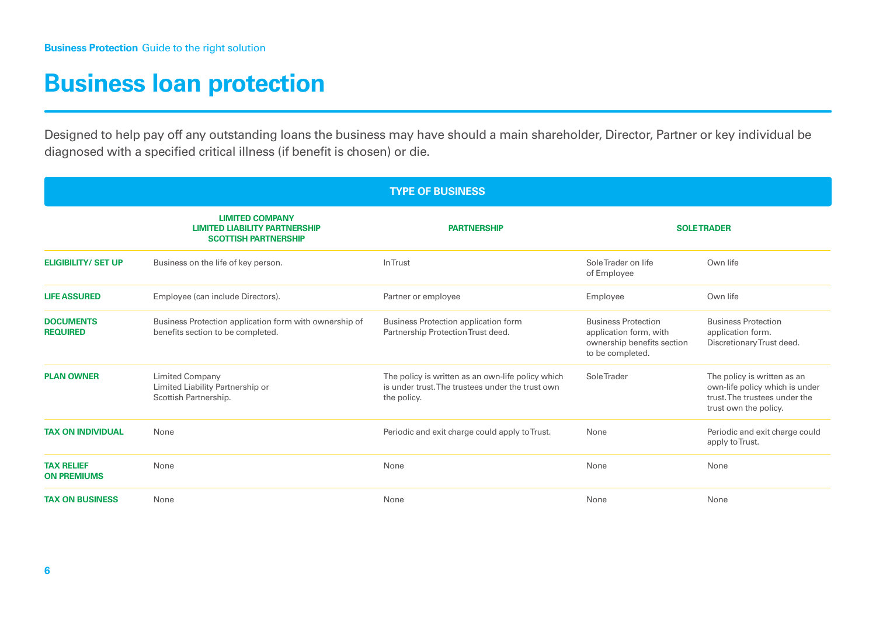#### **Business loan protection**

Designed to help pay off any outstanding loans the business may have should a main shareholder, Director, Partner or key individual be diagnosed with a specified critical illness (if benefit is chosen) or die.

| <b>TYPE OF BUSINESS</b>                 |                                                                                               |                                                                                                                      |                                                                                                        |                                                                                                                         |
|-----------------------------------------|-----------------------------------------------------------------------------------------------|----------------------------------------------------------------------------------------------------------------------|--------------------------------------------------------------------------------------------------------|-------------------------------------------------------------------------------------------------------------------------|
|                                         | <b>LIMITED COMPANY</b><br><b>LIMITED LIABILITY PARTNERSHIP</b><br><b>SCOTTISH PARTNERSHIP</b> | <b>PARTNERSHIP</b>                                                                                                   |                                                                                                        | <b>SOLETRADER</b>                                                                                                       |
| <b>ELIGIBILITY/ SET UP</b>              | Business on the life of key person.                                                           | In Trust                                                                                                             | SoleTrader on life<br>of Employee                                                                      | Own life                                                                                                                |
| <b>LIFE ASSURED</b>                     | Employee (can include Directors).                                                             | Partner or employee                                                                                                  | Employee                                                                                               | Own life                                                                                                                |
| <b>DOCUMENTS</b><br><b>REQUIRED</b>     | Business Protection application form with ownership of<br>benefits section to be completed.   | Business Protection application form<br>Partnership Protection Trust deed.                                           | <b>Business Protection</b><br>application form, with<br>ownership benefits section<br>to be completed. | <b>Business Protection</b><br>application form.<br>Discretionary Trust deed.                                            |
| <b>PLAN OWNER</b>                       | <b>Limited Company</b><br>Limited Liability Partnership or<br>Scottish Partnership.           | The policy is written as an own-life policy which<br>is under trust. The trustees under the trust own<br>the policy. | <b>SoleTrader</b>                                                                                      | The policy is written as an<br>own-life policy which is under<br>trust. The trustees under the<br>trust own the policy. |
| <b>TAX ON INDIVIDUAL</b>                | None                                                                                          | Periodic and exit charge could apply to Trust.                                                                       | None                                                                                                   | Periodic and exit charge could<br>apply to Trust.                                                                       |
| <b>TAX RELIEF</b><br><b>ON PREMIUMS</b> | None                                                                                          | None                                                                                                                 | None                                                                                                   | None                                                                                                                    |
| <b>TAX ON BUSINESS</b>                  | None                                                                                          | None                                                                                                                 | None                                                                                                   | None                                                                                                                    |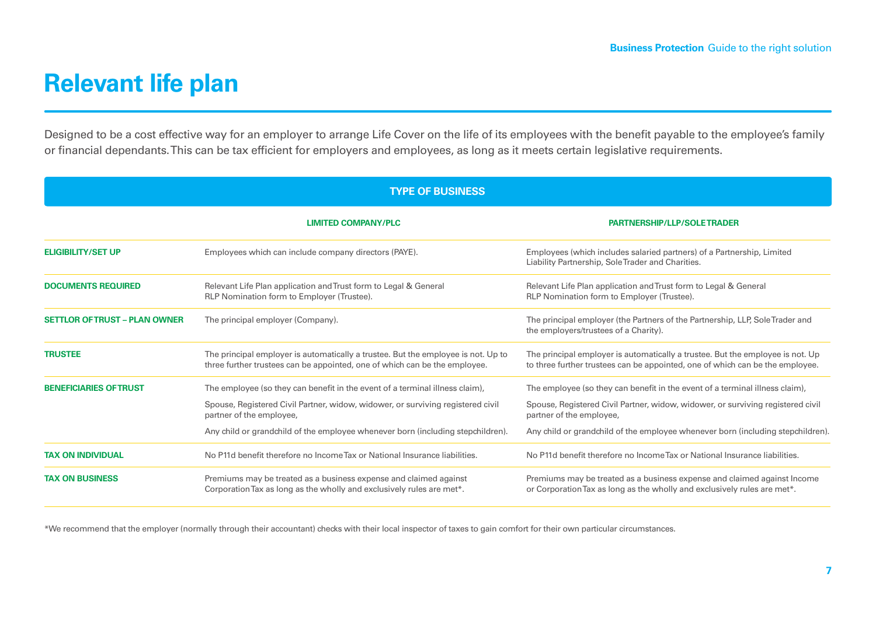#### **Relevant life plan**

Designed to be a cost effective way for an employer to arrange Life Cover on the life of its employees with the benefit payable to the employee's family or financial dependants. This can be tax efficient for employers and employees, as long as it meets certain legislative requirements.

| <b>TYPE OF BUSINESS</b>              |                                                                                                                                                                 |                                                                                                                                                                 |  |
|--------------------------------------|-----------------------------------------------------------------------------------------------------------------------------------------------------------------|-----------------------------------------------------------------------------------------------------------------------------------------------------------------|--|
|                                      | <b>LIMITED COMPANY/PLC</b>                                                                                                                                      | <b>PARTNERSHIP/LLP/SOLETRADER</b>                                                                                                                               |  |
| <b>ELIGIBILITY/SET UP</b>            | Employees which can include company directors (PAYE).                                                                                                           | Employees (which includes salaried partners) of a Partnership, Limited<br>Liability Partnership, Sole Trader and Charities.                                     |  |
| <b>DOCUMENTS REQUIRED</b>            | Relevant Life Plan application and Trust form to Legal & General<br>RLP Nomination form to Employer (Trustee).                                                  | Relevant Life Plan application and Trust form to Legal & General<br>RLP Nomination form to Employer (Trustee).                                                  |  |
| <b>SETTLOR OF TRUST - PLAN OWNER</b> | The principal employer (Company).                                                                                                                               | The principal employer (the Partners of the Partnership, LLP, Sole Trader and<br>the employers/trustees of a Charity).                                          |  |
| <b>TRUSTEE</b>                       | The principal employer is automatically a trustee. But the employee is not. Up to<br>three further trustees can be appointed, one of which can be the employee. | The principal employer is automatically a trustee. But the employee is not. Up<br>to three further trustees can be appointed, one of which can be the employee. |  |
| <b>BENEFICIARIES OF TRUST</b>        | The employee (so they can benefit in the event of a terminal illness claim),                                                                                    | The employee (so they can benefit in the event of a terminal illness claim),                                                                                    |  |
|                                      | Spouse, Registered Civil Partner, widow, widower, or surviving registered civil<br>partner of the employee,                                                     | Spouse, Registered Civil Partner, widow, widower, or surviving registered civil<br>partner of the employee,                                                     |  |
|                                      | Any child or grandchild of the employee whenever born (including stepchildren).                                                                                 | Any child or grandchild of the employee whenever born (including stepchildren).                                                                                 |  |
| <b>TAX ON INDIVIDUAL</b>             | No P11d benefit therefore no Income Tax or National Insurance liabilities.                                                                                      | No P11d benefit therefore no Income Tax or National Insurance liabilities.                                                                                      |  |
| <b>TAX ON BUSINESS</b>               | Premiums may be treated as a business expense and claimed against<br>Corporation Tax as long as the wholly and exclusively rules are met*.                      | Premiums may be treated as a business expense and claimed against Income<br>or Corporation Tax as long as the wholly and exclusively rules are met*.            |  |

\*We recommend that the employer (normally through their accountant) checks with their local inspector of taxes to gain comfort for their own particular circumstances.